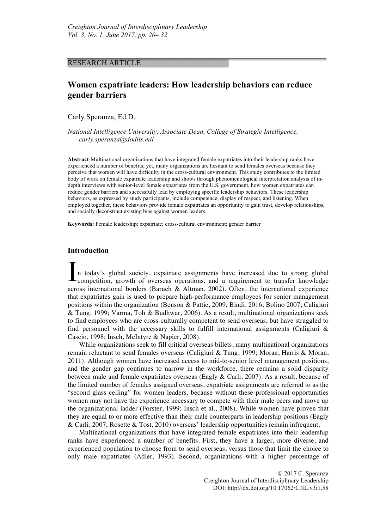# RESEARCH ARTICLE

# **Women expatriate leaders: How leadership behaviors can reduce gender barriers**

Carly Speranza, Ed.D.

*National Intelligence University, Associate Dean, College of Strategic Intelligence, carly.speranza@dodiis.mil*

**Abstract** Multinational organizations that have integrated female expatriates into their leadership ranks have experienced a number of benefits; yet, many organizations are hesitant to send females overseas because they perceive that women will have difficulty in the cross-cultural environment. This study contributes to the limited body of work on female expatriate leadership and shows through phenomenological interpretation analysis of indepth interviews with senior-level female expatriates from the U.S. government, how women expatriates can reduce gender barriers and successfully lead by employing specific leadership behaviors. These leadership behaviors, as expressed by study participants, include competence, display of respect, and listening. When employed together, these behaviors provide female expatriates an opportunity to gain trust, develop relationships, and socially deconstruct existing bias against women leaders.

**Keywords:** Female leadership; expatriate; cross-cultural environment; gender barrier

# **Introduction**

n today's global society, expatriate assignments have increased due to strong global competition, growth of overseas operations, and a requirement to transfer knowledge across international borders (Baruch & Altman, 2002). Often, the international experience that expatriates gain is used to prepare high-performance employees for senior management positions within the organization (Benson & Pattie, 2009; Bindi, 2016; Bolino 2007; Caligiuri & Tung, 1999; Varma, Toh & Budhwar, 2006). As a result, multinational organizations seek to find employees who are cross-culturally competent to send overseas, but have struggled to find personnel with the necessary skills to fulfill international assignments (Caligiuri  $\&$ Cascio, 1998; Insch, McIntyre & Napier, 2008). I

While organizations seek to fill critical overseas billets, many multinational organizations remain reluctant to send females overseas (Caligiuri & Tung, 1999; Moran, Harris & Moran, 2011). Although women have increased access to mid-to-senior level management positions, and the gender gap continues to narrow in the workforce, there remains a solid disparity between male and female expatriates overseas (Eagly & Carli, 2007). As a result, because of the limited number of females assigned overseas, expatriate assignments are referred to as the "second glass ceiling" for women leaders, because without these professional opportunities women may not have the experience necessary to compete with their male peers and move up the organizational ladder (Forster, 1999; Insch et al., 2008). While women have proven that they are equal to or more effective than their male counterparts in leadership positions (Eagly & Carli, 2007; Rosette & Tost, 2010) overseas' leadership opportunities remain infrequent.

Multinational organizations that have integrated female expatriates into their leadership ranks have experienced a number of benefits. First, they have a larger, more diverse, and experienced population to choose from to send overseas, versus those that limit the choice to only male expatriates (Adler, 1993). Second, organizations with a higher percentage of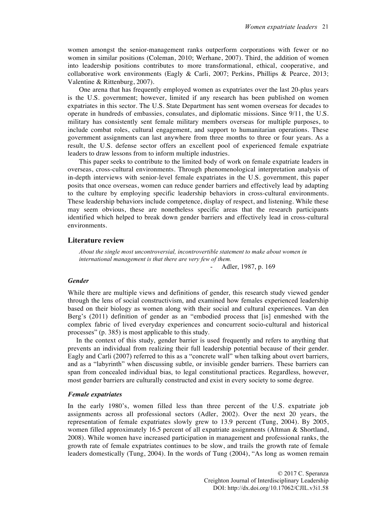women amongst the senior-management ranks outperform corporations with fewer or no women in similar positions (Coleman, 2010; Werhane, 2007). Third, the addition of women into leadership positions contributes to more transformational, ethical, cooperative, and collaborative work environments (Eagly & Carli, 2007; Perkins, Phillips & Pearce, 2013; Valentine & Rittenburg, 2007).

One arena that has frequently employed women as expatriates over the last 20-plus years is the U.S. government; however, limited if any research has been published on women expatriates in this sector. The U.S. State Department has sent women overseas for decades to operate in hundreds of embassies, consulates, and diplomatic missions. Since 9/11, the U.S. military has consistently sent female military members overseas for multiple purposes, to include combat roles, cultural engagement, and support to humanitarian operations. These government assignments can last anywhere from three months to three or four years. As a result, the U.S. defense sector offers an excellent pool of experienced female expatriate leaders to draw lessons from to inform multiple industries.

This paper seeks to contribute to the limited body of work on female expatriate leaders in overseas, cross-cultural environments. Through phenomenological interpretation analysis of in-depth interviews with senior-level female expatriates in the U.S. government, this paper posits that once overseas, women can reduce gender barriers and effectively lead by adapting to the culture by employing specific leadership behaviors in cross-cultural environments. These leadership behaviors include competence, display of respect, and listening. While these may seem obvious, these are nonetheless specific areas that the research participants identified which helped to break down gender barriers and effectively lead in cross-cultural environments.

#### **Literature review**

*About the single most uncontroversial, incontrovertible statement to make about women in international management is that there are very few of them.*

Adler, 1987, p. 169

### *Gender*

While there are multiple views and definitions of gender, this research study viewed gender through the lens of social constructivism, and examined how females experienced leadership based on their biology as women along with their social and cultural experiences. Van den Berg's (2011) definition of gender as an "embodied process that [is] enmeshed with the complex fabric of lived everyday experiences and concurrent socio-cultural and historical processes" (p. 385) is most applicable to this study.

In the context of this study, gender barrier is used frequently and refers to anything that prevents an individual from realizing their full leadership potential because of their gender. Eagly and Carli (2007) referred to this as a "concrete wall" when talking about overt barriers, and as a "labyrinth" when discussing subtle, or invisible gender barriers. These barriers can span from concealed individual bias, to legal constitutional practices. Regardless, however, most gender barriers are culturally constructed and exist in every society to some degree.

#### *Female expatriates*

In the early 1980's, women filled less than three percent of the U.S. expatriate job assignments across all professional sectors (Adler, 2002). Over the next 20 years, the representation of female expatriates slowly grew to 13.9 percent (Tung, 2004). By 2005, women filled approximately 16.5 percent of all expatriate assignments (Altman & Shortland, 2008). While women have increased participation in management and professional ranks, the growth rate of female expatriates continues to be slow, and trails the growth rate of female leaders domestically (Tung, 2004). In the words of Tung (2004), "As long as women remain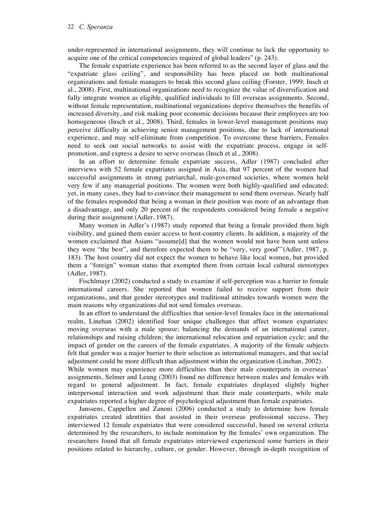under-represented in international assignments, they will continue to lack the opportunity to acquire one of the critical competencies required of global leaders" (p. 243).

The female expatriate experience has been referred to as the second layer of glass and the "expatriate glass ceiling", and responsibility has been placed on both multinational organizations and female managers to break this second glass ceiling (Forster, 1999; Insch et al., 2008). First, multinational organizations need to recognize the value of diversification and fully integrate women as eligible, qualified individuals to fill overseas assignments. Second, without female representation, multinational organizations deprive themselves the benefits of increased diversity, and risk making poor economic decisions because their employees are too homogeneous (Insch et al., 2008). Third, females in lower-level management positions may perceive difficulty in achieving senior management positions, due to lack of international experience, and may self-eliminate from competition. To overcome these barriers, Females need to seek out social networks to assist with the expatriate process, engage in selfpromotion, and express a desire to serve overseas (Insch et al., 2008).

In an effort to determine female expatriate success, Adler (1987) concluded after interviews with 52 female expatriates assigned in Asia, that 97 percent of the women had successful assignments in strong patriarchal, male-governed societies, where women held very few if any managerial positions. The women were both highly-qualified and educated; yet, in many cases, they had to convince their management to send them overseas. Nearly half of the females responded that being a woman in their position was more of an advantage than a disadvantage, and only 20 percent of the respondents considered being female a negative during their assignment (Adler, 1987).

Many women in Adler's (1987) study reported that being a female provided them high visibility, and gained them easier access to host-country clients. In addition, a majority of the women exclaimed that Asians "assume[d] that the women would not have been sent unless they were "the best", and therefore expected them to be "very, very good"'(Adler, 1987, p. 183). The host country did not expect the women to behave like local women, but provided them a "foreign" woman status that exempted them from certain local cultural stereotypes (Adler, 1987).

Fischlmayr (2002) conducted a study to examine if self-perception was a barrier to female international careers. She reported that women failed to receive support from their organizations, and that gender stereotypes and traditional attitudes towards women were the main reasons why organizations did not send females overseas.

In an effort to understand the difficulties that senior-level females face in the international realm, Linehan (2002) identified four unique challenges that affect women expatriates: moving overseas with a male spouse; balancing the demands of an international career, relationships and raising children; the international relocation and repatriation cycle; and the impact of gender on the careers of the female expatriates. A majority of the female subjects felt that gender was a major barrier to their selection as international managers, and that social adjustment could be more difficult than adjustment within the organization (Linehan, 2002).

While women may experience more difficulties than their male counterparts in overseas' assignments, Selmer and Leung (2003) found no difference between males and females with regard to general adjustment. In fact, female expatriates displayed slightly higher interpersonal interaction and work adjustment than their male counterparts, while male expatriates reported a higher degree of psychological adjustment than female expatriates.

Janssens, Cappellen and Zanoni (2006) conducted a study to determine how female expatriates created identities that assisted in their overseas professional success. They interviewed 12 female expatriates that were considered successful, based on several criteria determined by the researchers, to include nomination by the females' own organization. The researchers found that all female expatriates interviewed experienced some barriers in their positions related to hierarchy, culture, or gender. However, through in-depth recognition of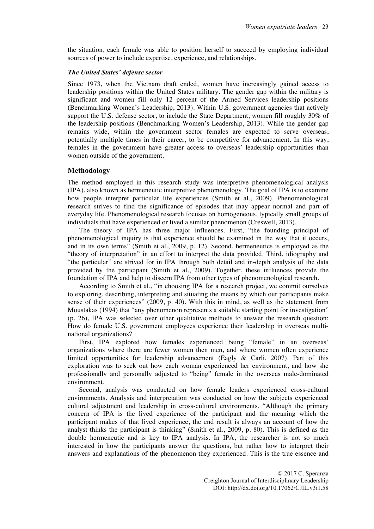the situation, each female was able to position herself to succeed by employing individual sources of power to include expertise, experience, and relationships.

## *The United States' defense sector*

Since 1973, when the Vietnam draft ended, women have increasingly gained access to leadership positions within the United States military. The gender gap within the military is significant and women fill only 12 percent of the Armed Services leadership positions (Benchmarking Women's Leadership, 2013). Within U.S. government agencies that actively support the U.S. defense sector, to include the State Department, women fill roughly 30% of the leadership positions (Benchmarking Women's Leadership, 2013). While the gender gap remains wide, within the government sector females are expected to serve overseas, potentially multiple times in their career, to be competitive for advancement. In this way, females in the government have greater access to overseas' leadership opportunities than women outside of the government.

# **Methodology**

The method employed in this research study was interpretive phenomenological analysis (IPA), also known as hermeneutic interpretive phenomenology. The goal of IPA is to examine how people interpret particular life experiences (Smith et al., 2009). Phenomenological research strives to find the significance of episodes that may appear normal and part of everyday life. Phenomenological research focuses on homogeneous, typically small groups of individuals that have experienced or lived a similar phenomenon (Creswell, 2013).

The theory of IPA has three major influences. First, "the founding principal of phenomenological inquiry is that experience should be examined in the way that it occurs, and in its own terms" (Smith et al., 2009, p. 12). Second, hermeneutics is employed as the "theory of interpretation" in an effort to interpret the data provided. Third, idiography and "the particular" are strived for in IPA through both detail and in-depth analysis of the data provided by the participant (Smith et al., 2009). Together, these influences provide the foundation of IPA and help to discern IPA from other types of phenomenological research.

According to Smith et al., "in choosing IPA for a research project, we commit ourselves to exploring, describing, interpreting and situating the means by which our participants make sense of their experiences" (2009, p. 40). With this in mind, as well as the statement from Moustakas (1994) that "any phenomenon represents a suitable starting point for investigation" (p. 26), IPA was selected over other qualitative methods to answer the research question: How do female U.S. government employees experience their leadership in overseas multinational organizations?

First, IPA explored how females experienced being "female" in an overseas' organizations where there are fewer women then men, and where women often experience limited opportunities for leadership advancement (Eagly & Carli, 2007). Part of this exploration was to seek out how each woman experienced her environment, and how she professionally and personally adjusted to "being" female in the overseas male-dominated environment.

Second, analysis was conducted on how female leaders experienced cross-cultural environments. Analysis and interpretation was conducted on how the subjects experienced cultural adjustment and leadership in cross-cultural environments. "Although the primary concern of IPA is the lived experience of the participant and the meaning which the participant makes of that lived experience, the end result is always an account of how the analyst thinks the participant is thinking" (Smith et al., 2009, p. 80). This is defined as the double hermeneutic and is key to IPA analysis. In IPA, the researcher is not so much interested in how the participants answer the questions, but rather how to interpret their answers and explanations of the phenomenon they experienced. This is the true essence and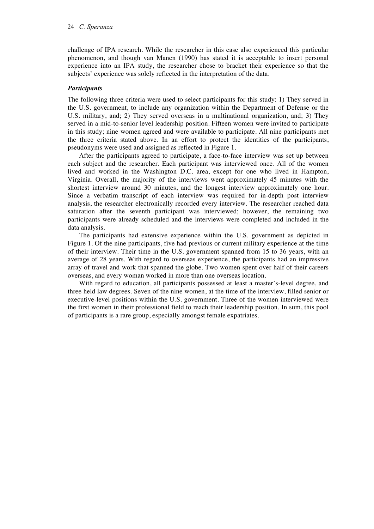challenge of IPA research. While the researcher in this case also experienced this particular phenomenon, and though van Manen (1990) has stated it is acceptable to insert personal experience into an IPA study, the researcher chose to bracket their experience so that the subjects' experience was solely reflected in the interpretation of the data.

# *Participants*

The following three criteria were used to select participants for this study: 1) They served in the U.S. government, to include any organization within the Department of Defense or the U.S. military, and; 2) They served overseas in a multinational organization, and; 3) They served in a mid-to-senior level leadership position. Fifteen women were invited to participate in this study; nine women agreed and were available to participate. All nine participants met the three criteria stated above. In an effort to protect the identities of the participants, pseudonyms were used and assigned as reflected in Figure 1.

After the participants agreed to participate, a face-to-face interview was set up between each subject and the researcher. Each participant was interviewed once. All of the women lived and worked in the Washington D.C. area, except for one who lived in Hampton, Virginia. Overall, the majority of the interviews went approximately 45 minutes with the shortest interview around 30 minutes, and the longest interview approximately one hour. Since a verbatim transcript of each interview was required for in-depth post interview analysis, the researcher electronically recorded every interview. The researcher reached data saturation after the seventh participant was interviewed; however, the remaining two participants were already scheduled and the interviews were completed and included in the data analysis.

The participants had extensive experience within the U.S. government as depicted in Figure 1. Of the nine participants, five had previous or current military experience at the time of their interview. Their time in the U.S. government spanned from 15 to 36 years, with an average of 28 years. With regard to overseas experience, the participants had an impressive array of travel and work that spanned the globe. Two women spent over half of their careers overseas, and every woman worked in more than one overseas location.

With regard to education, all participants possessed at least a master's-level degree, and three held law degrees. Seven of the nine women, at the time of the interview, filled senior or executive-level positions within the U.S. government. Three of the women interviewed were the first women in their professional field to reach their leadership position. In sum, this pool of participants is a rare group, especially amongst female expatriates.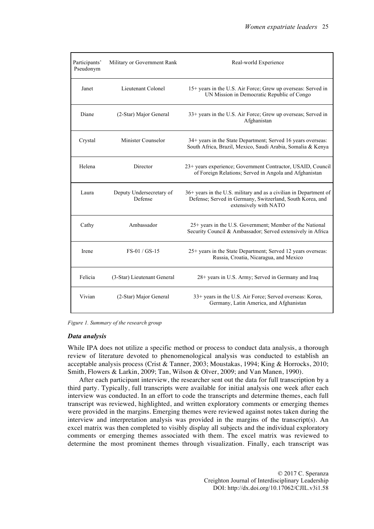| Participants'<br>Pseudonym | Military or Government Rank         | Real-world Experience                                                                                                                                   |
|----------------------------|-------------------------------------|---------------------------------------------------------------------------------------------------------------------------------------------------------|
| Janet                      | Lieutenant Colonel                  | 15+ years in the U.S. Air Force; Grew up overseas: Served in<br>UN Mission in Democratic Republic of Congo                                              |
| Diane                      | (2-Star) Major General              | 33+ years in the U.S. Air Force; Grew up overseas; Served in<br>Afghanistan                                                                             |
| Crystal                    | Minister Counselor                  | 34+ years in the State Department; Served 16 years overseas:<br>South Africa, Brazil, Mexico, Saudi Arabia, Somalia & Kenya                             |
| Helena                     | Director                            | 23+ years experience; Government Contractor, USAID, Council<br>of Foreign Relations; Served in Angola and Afghanistan                                   |
| Laura                      | Deputy Undersecretary of<br>Defense | 36+ years in the U.S. military and as a civilian in Department of<br>Defense; Served in Germany, Switzerland, South Korea, and<br>extensively with NATO |
| Cathy                      | Ambassador                          | 25+ years in the U.S. Government; Member of the National<br>Security Council & Ambassador; Served extensively in Africa                                 |
| Irene                      | FS-01 / GS-15                       | 25+ years in the State Department; Served 12 years overseas:<br>Russia, Croatia, Nicaragua, and Mexico                                                  |
| Felicia                    | (3-Star) Lieutenant General         | 28+ years in U.S. Army; Served in Germany and Iraq                                                                                                      |
| Vivian                     | (2-Star) Major General              | 33+ years in the U.S. Air Force; Served overseas: Korea,<br>Germany, Latin America, and Afghanistan                                                     |

*Figure 1. Summary of the research group*

#### *Data analysis*

While IPA does not utilize a specific method or process to conduct data analysis, a thorough review of literature devoted to phenomenological analysis was conducted to establish an acceptable analysis process (Crist & Tanner, 2003; Moustakas, 1994; King & Horrocks, 2010; Smith, Flowers & Larkin, 2009; Tan, Wilson & Olver, 2009; and Van Manen, 1990).

After each participant interview, the researcher sent out the data for full transcription by a third party. Typically, full transcripts were available for initial analysis one week after each interview was conducted. In an effort to code the transcripts and determine themes, each full transcript was reviewed, highlighted, and written exploratory comments or emerging themes were provided in the margins. Emerging themes were reviewed against notes taken during the interview and interpretation analysis was provided in the margins of the transcript(s). An excel matrix was then completed to visibly display all subjects and the individual exploratory comments or emerging themes associated with them. The excel matrix was reviewed to determine the most prominent themes through visualization. Finally, each transcript was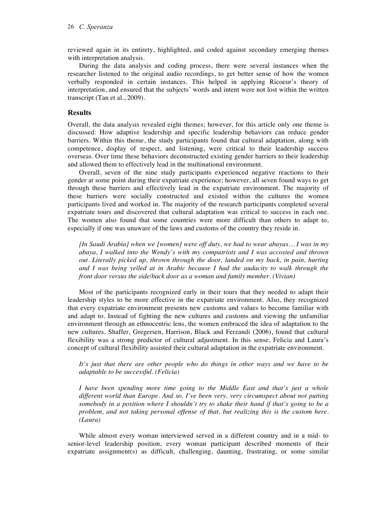reviewed again in its entirety, highlighted, and coded against secondary emerging themes with interpretation analysis.

During the data analysis and coding process, there were several instances when the researcher listened to the original audio recordings, to get better sense of how the women verbally responded in certain instances. This helped in applying Ricoeur's theory of interpretation, and ensured that the subjects' words and intent were not lost within the written transcript (Tan et al., 2009).

# **Results**

Overall, the data analysis revealed eight themes; however, for this article only one theme is discussed: How adaptive leadership and specific leadership behaviors can reduce gender barriers. Within this theme, the study participants found that cultural adaptation, along with competence, display of respect, and listening, were critical to their leadership success overseas. Over time these behaviors deconstructed existing gender barriers to their leadership and allowed them to effectively lead in the multinational environment.

Overall, seven of the nine study participants experienced negative reactions to their gender at some point during their expatriate experience; however, all seven found ways to get through these barriers and effectively lead in the expatriate environment. The majority of these barriers were socially constructed and existed within the cultures the women participants lived and worked in. The majority of the research participants completed several expatriate tours and discovered that cultural adaptation was critical to success in each one. The women also found that some countries were more difficult than others to adapt to, especially if one was unaware of the laws and customs of the country they reside in.

*[In Saudi Arabia] when we [women] were off duty, we had to wear abayas… I was in my abaya, I walked into the Wendy's with my compatriots and I was accosted and thrown out. Literally picked up, thrown through the door, landed on my back, in pain, hurting and I was being yelled at in Arabic because I had the audacity to walk through the front door versus the side/back door as a woman and family member. (Vivian)*

Most of the participants recognized early in their tours that they needed to adapt their leadership styles to be more effective in the expatriate environment. Also, they recognized that every expatriate environment presents new customs and values to become familiar with and adapt to. Instead of fighting the new cultures and customs and viewing the unfamiliar environment through an ethnocentric lens, the women embraced the idea of adaptation to the new cultures. Shaffer, Gregersen, Harrison, Black and Ferzandi (2006), found that cultural flexibility was a strong predictor of cultural adjustment. In this sense, Felicia and Laura's concept of cultural flexibility assisted their cultural adaptation in the expatriate environment.

*It's just that there are other people who do things in other ways and we have to be adaptable to be successful. (Felicia)*

*I have been spending more time going to the Middle East and that's just a whole different world than Europe. And so, I've been very, very circumspect about not putting somebody in a position where I shouldn't try to shake their hand if that's going to be a problem, and not taking personal offense of that, but realizing this is the custom here. (Laura)*

While almost every woman interviewed served in a different country and in a mid- to senior-level leadership position, every woman participant described moments of their expatriate assignment(s) as difficult, challenging, daunting, frustrating, or some similar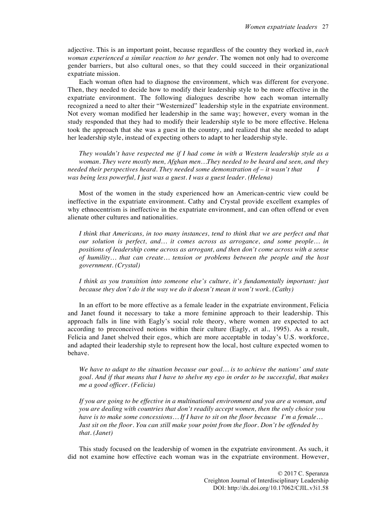adjective. This is an important point, because regardless of the country they worked in, *each woman experienced a similar reaction to her gender*. The women not only had to overcome gender barriers, but also cultural ones, so that they could succeed in their organizational expatriate mission.

Each woman often had to diagnose the environment, which was different for everyone. Then, they needed to decide how to modify their leadership style to be more effective in the expatriate environment. The following dialogues describe how each woman internally recognized a need to alter their "Westernized" leadership style in the expatriate environment. Not every woman modified her leadership in the same way; however, every woman in the study responded that they had to modify their leadership style to be more effective. Helena took the approach that she was a guest in the country, and realized that she needed to adapt her leadership style, instead of expecting others to adapt to her leadership style.

*They wouldn't have respected me if I had come in with a Western leadership style as a woman. They were mostly men, Afghan men…They needed to be heard and seen, and they needed their perspectives heard. They needed some demonstration of – it wasn't that I was being less powerful, I just was a guest. I was a guest leader. (Helena)*

Most of the women in the study experienced how an American-centric view could be ineffective in the expatriate environment. Cathy and Crystal provide excellent examples of why ethnocentrism is ineffective in the expatriate environment, and can often offend or even alienate other cultures and nationalities.

*I think that Americans, in too many instances, tend to think that we are perfect and that our solution is perfect, and… it comes across as arrogance, and some people… in positions of leadership come across as arrogant, and then don't come across with a sense of humility… that can create… tension or problems between the people and the host government. (Crystal)*

*I think as you transition into someone else's culture, it's fundamentally important: just because they don't do it the way we do it doesn't mean it won't work. (Cathy)*

In an effort to be more effective as a female leader in the expatriate environment, Felicia and Janet found it necessary to take a more feminine approach to their leadership. This approach falls in line with Eagly's social role theory, where women are expected to act according to preconceived notions within their culture (Eagly, et al., 1995). As a result, Felicia and Janet shelved their egos, which are more acceptable in today's U.S. workforce, and adapted their leadership style to represent how the local, host culture expected women to behave.

*We have to adapt to the situation because our goal… is to achieve the nations' and state goal. And if that means that I have to shelve my ego in order to be successful, that makes me a good officer. (Felicia)*

*If you are going to be effective in a multinational environment and you are a woman, and you are dealing with countries that don't readily accept women, then the only choice you have is to make some concessions… If I have to sit on the floor because I'm a female… Just sit on the floor. You can still make your point from the floor. Don't be offended by that. (Janet)*

This study focused on the leadership of women in the expatriate environment. As such, it did not examine how effective each woman was in the expatriate environment. However,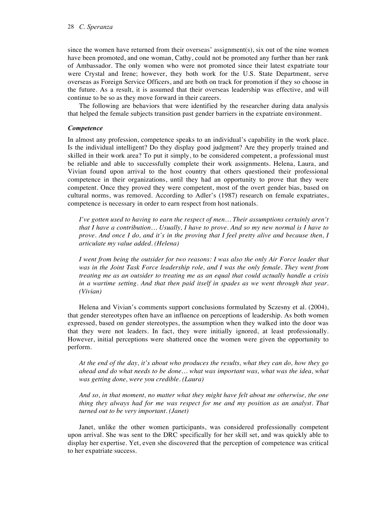since the women have returned from their overseas' assignment(s), six out of the nine women have been promoted, and one woman, Cathy, could not be promoted any further than her rank of Ambassador. The only women who were not promoted since their latest expatriate tour were Crystal and Irene; however, they both work for the U.S. State Department, serve overseas as Foreign Service Officers, and are both on track for promotion if they so choose in the future. As a result, it is assumed that their overseas leadership was effective, and will continue to be so as they move forward in their careers.

The following are behaviors that were identified by the researcher during data analysis that helped the female subjects transition past gender barriers in the expatriate environment.

#### *Competence*

In almost any profession, competence speaks to an individual's capability in the work place. Is the individual intelligent? Do they display good judgment? Are they properly trained and skilled in their work area? To put it simply, to be considered competent, a professional must be reliable and able to successfully complete their work assignments. Helena, Laura, and Vivian found upon arrival to the host country that others questioned their professional competence in their organizations, until they had an opportunity to prove that they were competent. Once they proved they were competent, most of the overt gender bias, based on cultural norms, was removed. According to Adler's (1987) research on female expatriates, competence is necessary in order to earn respect from host nationals.

*I've gotten used to having to earn the respect of men... Their assumptions certainly aren't that I have a contribution… Usually, I have to prove. And so my new normal is I have to prove. And once I do, and it's in the proving that I feel pretty alive and because then, I articulate my value added. (Helena)*

*I went from being the outsider for two reasons: I was also the only Air Force leader that was in the Joint Task Force leadership role, and I was the only female. They went from treating me as an outsider to treating me as an equal that could actually handle a crisis in a wartime setting. And that then paid itself in spades as we went through that year. (Vivian)*

Helena and Vivian's comments support conclusions formulated by Sczesny et al. (2004), that gender stereotypes often have an influence on perceptions of leadership. As both women expressed, based on gender stereotypes, the assumption when they walked into the door was that they were not leaders. In fact, they were initially ignored, at least professionally. However, initial perceptions were shattered once the women were given the opportunity to perform.

*At the end of the day, it's about who produces the results, what they can do, how they go ahead and do what needs to be done… what was important was, what was the idea, what was getting done, were you credible. (Laura)*

*And so, in that moment, no matter what they might have felt about me otherwise, the one thing they always had for me was respect for me and my position as an analyst. That turned out to be very important. (Janet)*

Janet, unlike the other women participants, was considered professionally competent upon arrival. She was sent to the DRC specifically for her skill set, and was quickly able to display her expertise. Yet, even she discovered that the perception of competence was critical to her expatriate success.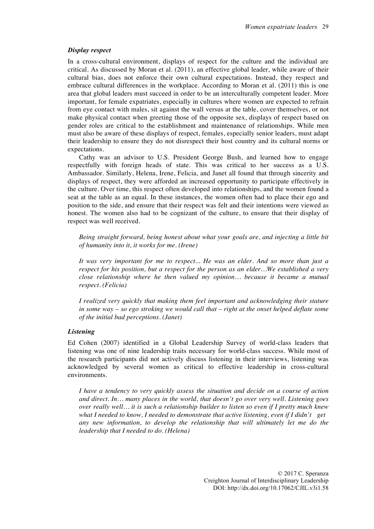# *Display respect*

In a cross-cultural environment, displays of respect for the culture and the individual are critical. As discussed by Moran et al. (2011), an effective global leader, while aware of their cultural bias, does not enforce their own cultural expectations. Instead, they respect and embrace cultural differences in the workplace. According to Moran et al. (2011) this is one area that global leaders must succeed in order to be an interculturally competent leader. More important, for female expatriates, especially in cultures where women are expected to refrain from eye contact with males, sit against the wall versus at the table, cover themselves, or not make physical contact when greeting those of the opposite sex, displays of respect based on gender roles are critical to the establishment and maintenance of relationships. While men must also be aware of these displays of respect, females, especially senior leaders, must adapt their leadership to ensure they do not disrespect their host country and its cultural norms or expectations.

Cathy was an advisor to U.S. President George Bush, and learned how to engage respectfully with foreign heads of state. This was critical to her success as a U.S. Ambassador. Similarly, Helena, Irene, Felicia, and Janet all found that through sincerity and displays of respect, they were afforded an increased opportunity to participate effectively in the culture. Over time, this respect often developed into relationships, and the women found a seat at the table as an equal. In these instances, the women often had to place their ego and position to the side, and ensure that their respect was felt and their intentions were viewed as honest. The women also had to be cognizant of the culture, to ensure that their display of respect was well received.

*Being straight forward, being honest about what your goals are, and injecting a little bit of humanity into it, it works for me. (Irene)*

*It was very important for me to respect... He was an elder. And so more than just a respect for his position, but a respect for the person as an elder…We established a very close relationship where he then valued my opinion… because it became a mutual respect. (Felicia)*

*I realized very quickly that making them feel important and acknowledging their stature in some way – so ego stroking we would call that – right at the onset helped deflate some of the initial bad perceptions. (Janet)*

### *Listening*

Ed Cohen (2007) identified in a Global Leadership Survey of world-class leaders that listening was one of nine leadership traits necessary for world-class success. While most of the research participants did not actively discuss listening in their interviews, listening was acknowledged by several women as critical to effective leadership in cross-cultural environments.

*I have a tendency to very quickly assess the situation and decide on a course of action and direct. In… many places in the world, that doesn't go over very well. Listening goes over really well… it is such a relationship builder to listen so even if I pretty much knew what I needed to know, I needed to demonstrate that active listening, even if I didn't get any new information, to develop the relationship that will ultimately let me do the leadership that I needed to do. (Helena)*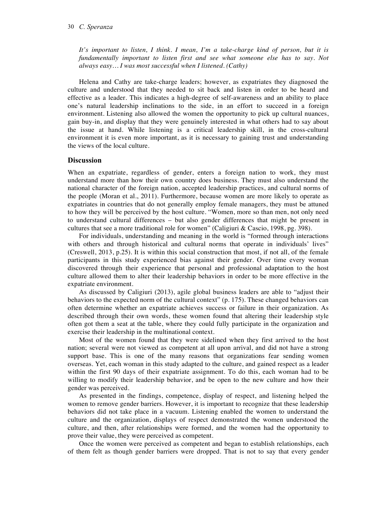#### 30 *C. Speranza*

*It's important to listen, I think. I mean, I'm a take-charge kind of person, but it is fundamentally important to listen first and see what someone else has to say. Not always easy… I was most successful when I listened. (Cathy)*

Helena and Cathy are take-charge leaders; however, as expatriates they diagnosed the culture and understood that they needed to sit back and listen in order to be heard and effective as a leader. This indicates a high-degree of self-awareness and an ability to place one's natural leadership inclinations to the side, in an effort to succeed in a foreign environment. Listening also allowed the women the opportunity to pick up cultural nuances, gain buy-in, and display that they were genuinely interested in what others had to say about the issue at hand. While listening is a critical leadership skill, in the cross-cultural environment it is even more important, as it is necessary to gaining trust and understanding the views of the local culture.

#### **Discussion**

When an expatriate, regardless of gender, enters a foreign nation to work, they must understand more than how their own country does business. They must also understand the national character of the foreign nation, accepted leadership practices, and cultural norms of the people (Moran et al., 2011). Furthermore, because women are more likely to operate as expatriates in countries that do not generally employ female managers, they must be attuned to how they will be perceived by the host culture. "Women, more so than men, not only need to understand cultural differences – but also gender differences that might be present in cultures that see a more traditional role for women" (Caligiuri & Cascio, 1998, pg. 398).

For individuals, understanding and meaning in the world is "formed through interactions with others and through historical and cultural norms that operate in individuals' lives" (Creswell, 2013, p.25). It is within this social construction that most, if not all, of the female participants in this study experienced bias against their gender. Over time every woman discovered through their experience that personal and professional adaptation to the host culture allowed them to alter their leadership behaviors in order to be more effective in the expatriate environment.

As discussed by Caligiuri (2013), agile global business leaders are able to "adjust their behaviors to the expected norm of the cultural context" (p. 175). These changed behaviors can often determine whether an expatriate achieves success or failure in their organization. As described through their own words, these women found that altering their leadership style often got them a seat at the table, where they could fully participate in the organization and exercise their leadership in the multinational context.

Most of the women found that they were sidelined when they first arrived to the host nation; several were not viewed as competent at all upon arrival, and did not have a strong support base. This is one of the many reasons that organizations fear sending women overseas. Yet, each woman in this study adapted to the culture, and gained respect as a leader within the first 90 days of their expatriate assignment. To do this, each woman had to be willing to modify their leadership behavior, and be open to the new culture and how their gender was perceived.

As presented in the findings, competence, display of respect, and listening helped the women to remove gender barriers. However, it is important to recognize that these leadership behaviors did not take place in a vacuum. Listening enabled the women to understand the culture and the organization, displays of respect demonstrated the women understood the culture, and then, after relationships were formed, and the women had the opportunity to prove their value, they were perceived as competent.

Once the women were perceived as competent and began to establish relationships, each of them felt as though gender barriers were dropped. That is not to say that every gender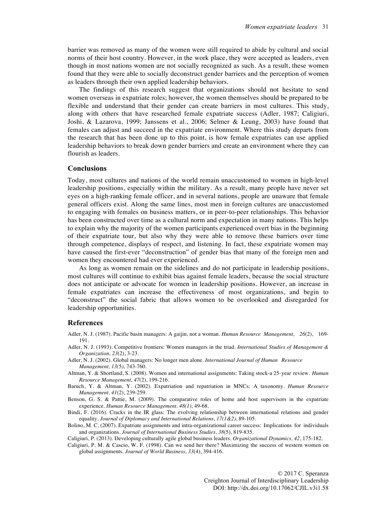barrier was removed as many of the women were still required to abide by cultural and social norms of their host country. However, in the work place, they were accepted as leaders, even though in most nations women are not socially recognized as such. As a result, these women found that they were able to socially deconstruct gender barriers and the perception of women as leaders through their own applied leadership behaviors.

The findings of this research suggest that organizations should not hesitate to send women overseas in expatriate roles; however, the women themselves should be prepared to be flexible and understand that their gender can create barriers in most cultures. This study, along with others that have researched female expatriate success (Adler, 1987; Caligiuri, Joshi, & Lazarova, 1999; Janssens et al., 2006; Selmer & Leung, 2003) have found that females can adjust and succeed in the expatriate environment. Where this study departs from the research that has been done up to this point, is how female expatriates can use applied leadership behaviors to break down gender barriers and create an environment where they can flourish as leaders.

# **Conclusions**

Today, most cultures and nations of the world remain unaccustomed to women in high-level leadership positions, especially within the military. As a result, many people have never set eyes on a high-ranking female officer, and in several nations, people are unaware that female general officers exist. Along the same lines, most men in foreign cultures are unaccustomed to engaging with females on business matters, or in peer-to-peer relationships. This behavior has been constructed over time as a cultural norm and expectation in many nations. This helps to explain why the majority of the women participants experienced overt bias in the beginning of their expatriate tour, but also why they were able to remove these barriers over time through competence, displays of respect, and listening. In fact, these expatriate women may have caused the first-ever "deconstruction" of gender bias that many of the foreign men and women they encountered had ever experienced.

As long as women remain on the sidelines and do not participate in leadership positions, most cultures will continue to exhibit bias against female leaders, because the social structure does not anticipate or advocate for women in leadership positions. However, an increase in female expatriates can increase the effectiveness of most organizations, and begin to "deconstruct" the social fabric that allows women to be overlooked and disregarded for leadership opportunities.

# **References**

Adler, N. J. (1987). Pacific basin managers: A gaijin, not a woman. *Human Resource Management, 26*(2), 169- 191.

- Adler, N. J. (1993). Competitive frontiers: Women managers in the triad. *International Studies of Management & Organization, 23*(2), 3-23.
- Adler, N. J. (2002). Global managers: No longer men alone. *International Journal of Human Resource Management, 13(*5*),* 743-760.
- Altman, Y. & Shortland, S. (2008). Women and international assignments: Taking stock-a 25-year review. *Human Resource Management, 47*(2), 199-216.
- Baruch, Y. & Altman, Y. (2002). Expatriation and repatriation in MNCs: A taxonomy. *Human Resource Management, 41*(2), 239-259.

Benson, G. S. & Pattie, M. (2009). The comparative roles of home and host supervisors in the expatriate experience. *Human Resource Management, 48(1),* 49-68.

- Bindi, F. (2016). Cracks in the IR glass: The evolving relationship between international relations and gender equality. *Journal of Diplomacy and International Relations, 17(1&2)*, 89-105.
- Bolino, M. C. (2007). Expatriate assignments and intra-organizational career success: Implications for individuals and organizations. *Journal of International Business Studies, 38*(5), 819-835.
- Caligiuri, P. (2013). Developing culturally agile global business leaders. *Organizational Dynamics, 42*, 175-182.
- Caligiuri, P. M. & Cascio, W. F. (1998). Can we send her there? Maximizing the success of western women on global assignments. *Journal of World Business, 33*(4), 394-416.

© 2017 C. Speranza Creighton Journal of Interdisciplinary Leadership DOI: http://dx.doi.org/10.17062/CJIL.v3i1.58